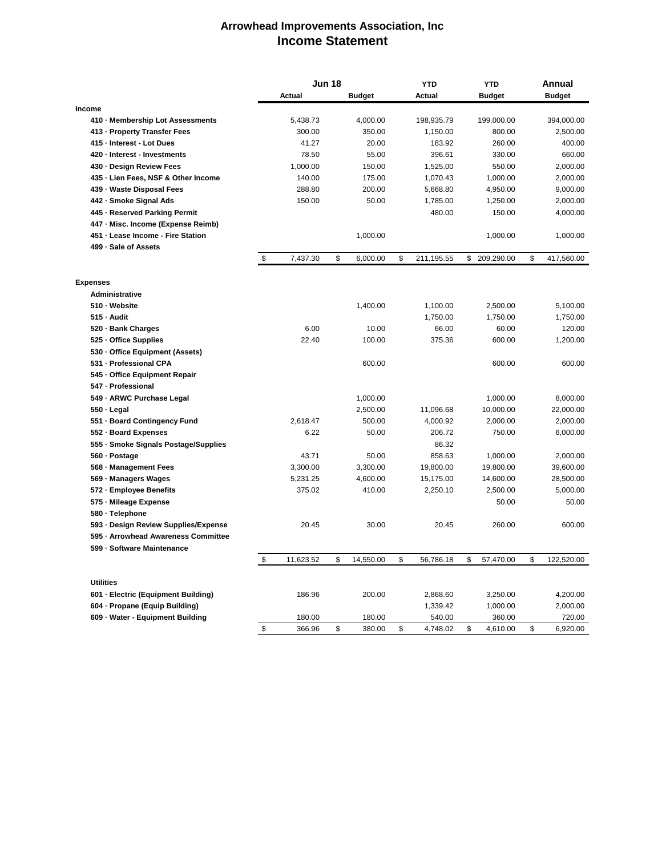## **Arrowhead Improvements Association, Inc Income Statement**

|                                      |                           | <b>Jun 18</b> |    |               | <b>YTD</b>       | <b>YTD</b> |               | Annual |               |
|--------------------------------------|---------------------------|---------------|----|---------------|------------------|------------|---------------|--------|---------------|
|                                      |                           | Actual        |    | <b>Budget</b> | Actual           |            | <b>Budget</b> |        | <b>Budget</b> |
| <b>Income</b>                        |                           |               |    |               |                  |            |               |        |               |
| 410 · Membership Lot Assessments     |                           | 5,438.73      |    | 4,000.00      | 198,935.79       |            | 199,000.00    |        | 394,000.00    |
| 413 - Property Transfer Fees         |                           | 300.00        |    | 350.00        | 1,150.00         |            | 800.00        |        | 2,500.00      |
| 415 - Interest - Lot Dues            |                           | 41.27         |    | 20.00         | 183.92           |            | 260.00        |        | 400.00        |
| 420 - Interest - Investments         |                           | 78.50         |    | 55.00         | 396.61           |            | 330.00        |        | 660.00        |
| 430 - Design Review Fees             |                           | 1,000.00      |    | 150.00        | 1,525.00         |            | 550.00        |        | 2,000.00      |
| 435 - Lien Fees, NSF & Other Income  |                           | 140.00        |    | 175.00        | 1,070.43         |            | 1,000.00      |        | 2,000.00      |
| 439 - Waste Disposal Fees            |                           | 288.80        |    | 200.00        | 5,668.80         |            | 4,950.00      |        | 9,000.00      |
| 442 - Smoke Signal Ads               |                           | 150.00        |    | 50.00         | 1,785.00         |            | 1,250.00      |        | 2,000.00      |
| 445 - Reserved Parking Permit        |                           |               |    |               | 480.00           |            | 150.00        |        | 4,000.00      |
| 447 - Misc. Income (Expense Reimb)   |                           |               |    |               |                  |            |               |        |               |
| 451 - Lease Income - Fire Station    |                           |               |    | 1,000.00      |                  |            | 1,000.00      |        | 1,000.00      |
| 499 - Sale of Assets                 |                           |               |    |               |                  |            |               |        |               |
|                                      | $\boldsymbol{\mathsf{S}}$ | 7,437.30      | \$ | 6,000.00      | \$<br>211,195.55 |            | \$ 209,290.00 | \$     | 417,560.00    |
| <b>Expenses</b>                      |                           |               |    |               |                  |            |               |        |               |
| <b>Administrative</b>                |                           |               |    |               |                  |            |               |        |               |
| 510 · Website                        |                           |               |    | 1,400.00      | 1,100.00         |            | 2,500.00      |        | 5,100.00      |
| 515 - Audit                          |                           |               |    |               | 1,750.00         |            | 1,750.00      |        | 1,750.00      |
| 520 · Bank Charges                   |                           | 6.00          |    | 10.00         | 66.00            |            | 60.00         |        | 120.00        |
| 525 · Office Supplies                |                           | 22.40         |    | 100.00        | 375.36           |            | 600.00        |        | 1,200.00      |
| 530 - Office Equipment (Assets)      |                           |               |    |               |                  |            |               |        |               |
| 531 - Professional CPA               |                           |               |    | 600.00        |                  |            | 600.00        |        | 600.00        |
| 545 - Office Equipment Repair        |                           |               |    |               |                  |            |               |        |               |
| 547 - Professional                   |                           |               |    |               |                  |            |               |        |               |
| 549 - ARWC Purchase Legal            |                           |               |    | 1,000.00      |                  |            | 1,000.00      |        | 8,000.00      |
| $550 -$ Legal                        |                           |               |    | 2,500.00      | 11,096.68        |            | 10,000.00     |        | 22,000.00     |
| 551 - Board Contingency Fund         |                           | 2,618.47      |    | 500.00        | 4,000.92         |            | 2,000.00      |        | 2,000.00      |
| 552 - Board Expenses                 |                           | 6.22          |    | 50.00         | 206.72           |            | 750.00        |        | 6,000.00      |
| 555 · Smoke Signals Postage/Supplies |                           |               |    |               | 86.32            |            |               |        |               |
| 560 · Postage                        |                           | 43.71         |    | 50.00         | 858.63           |            | 1,000.00      |        | 2,000.00      |
| 568 - Management Fees                |                           | 3,300.00      |    | 3,300.00      | 19,800.00        |            | 19,800.00     |        | 39,600.00     |
| 569 - Managers Wages                 |                           | 5,231.25      |    | 4,600.00      | 15,175.00        |            | 14,600.00     |        | 28,500.00     |
| 572 - Employee Benefits              |                           | 375.02        |    | 410.00        | 2,250.10         |            | 2,500.00      |        | 5,000.00      |
| 575 - Mileage Expense                |                           |               |    |               |                  |            | 50.00         |        | 50.00         |
| 580 · Telephone                      |                           |               |    |               |                  |            |               |        |               |
| 593 · Design Review Supplies/Expense |                           | 20.45         |    | 30.00         | 20.45            |            | 260.00        |        | 600.00        |
| 595 - Arrowhead Awareness Committee  |                           |               |    |               |                  |            |               |        |               |
| 599 - Software Maintenance           |                           |               |    |               |                  |            |               |        |               |
|                                      | \$                        | 11,623.52     | \$ | 14,550.00     | \$<br>56,786.18  | \$         | 57,470.00     | \$     | 122,520.00    |
| <b>Utilities</b>                     |                           |               |    |               |                  |            |               |        |               |
| 601 - Electric (Equipment Building)  |                           | 186.96        |    | 200.00        | 2,868.60         |            | 3,250.00      |        | 4,200.00      |
| 604 - Propane (Equip Building)       |                           |               |    |               | 1,339.42         |            | 1,000.00      |        | 2,000.00      |
| 609 - Water - Equipment Building     |                           | 180.00        |    | 180.00        | 540.00           |            | 360.00        |        | 720.00        |
|                                      | $\,$                      | 366.96        | \$ | 380.00        | \$<br>4,748.02   | \$         | 4,610.00      | \$     | 6,920.00      |
|                                      |                           |               |    |               |                  |            |               |        |               |